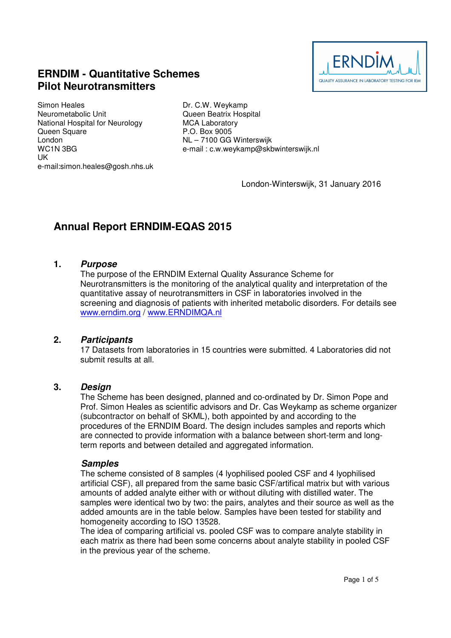

# **ERNDIM - Quantitative Schemes Pilot Neurotransmitters**

Simon Heales Neurometabolic Unit National Hospital for Neurology Queen Square London WC1N 3BG UK e-mail:simon.heales@gosh.nhs.uk

Dr. C.W. Weykamp Queen Beatrix Hospital MCA Laboratory P.O. Box 9005 NL – 7100 GG Winterswijk e-mail : c.w.weykamp@skbwinterswijk.nl

London-Winterswijk, 31 January 2016

# **Annual Report ERNDIM-EQAS 2015**

#### **1. Purpose**

The purpose of the ERNDIM External Quality Assurance Scheme for Neurotransmitters is the monitoring of the analytical quality and interpretation of the quantitative assay of neurotransmitters in CSF in laboratories involved in the screening and diagnosis of patients with inherited metabolic disorders. For details see www.erndim.org / www.ERNDIMQA.nl

#### **2. Participants**

17 Datasets from laboratories in 15 countries were submitted. 4 Laboratories did not submit results at all.

#### **3. Design**

The Scheme has been designed, planned and co-ordinated by Dr. Simon Pope and Prof. Simon Heales as scientific advisors and Dr. Cas Weykamp as scheme organizer (subcontractor on behalf of SKML), both appointed by and according to the procedures of the ERNDIM Board. The design includes samples and reports which are connected to provide information with a balance between short-term and longterm reports and between detailed and aggregated information.

#### **Samples**

The scheme consisted of 8 samples (4 lyophilised pooled CSF and 4 lyophilised artificial CSF), all prepared from the same basic CSF/artifical matrix but with various amounts of added analyte either with or without diluting with distilled water. The samples were identical two by two: the pairs, analytes and their source as well as the added amounts are in the table below. Samples have been tested for stability and homogeneity according to ISO 13528.

The idea of comparing artificial vs. pooled CSF was to compare analyte stability in each matrix as there had been some concerns about analyte stability in pooled CSF in the previous year of the scheme.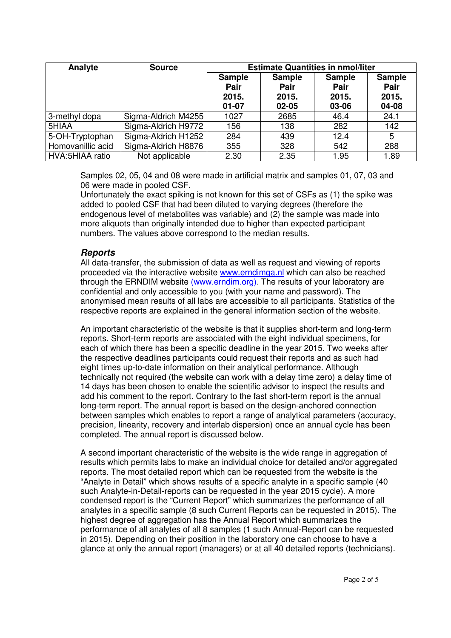| Analyte           | <b>Source</b>       | <b>Estimate Quantities in nmol/liter</b>    |                                                    |                                                |                                         |
|-------------------|---------------------|---------------------------------------------|----------------------------------------------------|------------------------------------------------|-----------------------------------------|
|                   |                     | <b>Sample</b><br>Pair<br>2015.<br>$01 - 07$ | <b>Sample</b><br><b>Pair</b><br>2015.<br>$02 - 05$ | <b>Sample</b><br><b>Pair</b><br>2015.<br>03-06 | <b>Sample</b><br>Pair<br>2015.<br>04-08 |
| 3-methyl dopa     | Sigma-Aldrich M4255 | 1027                                        | 2685                                               | 46.4                                           | 24.1                                    |
| 5HIAA             | Sigma-Aldrich H9772 | 156                                         | 138                                                | 282                                            | 142                                     |
| 5-OH-Tryptophan   | Sigma-Aldrich H1252 | 284                                         | 439                                                | 12.4                                           | 5                                       |
| Homovanillic acid | Sigma-Aldrich H8876 | 355                                         | 328                                                | 542                                            | 288                                     |
| HVA:5HIAA ratio   | Not applicable      | 2.30                                        | 2.35                                               | 1.95                                           | 1.89                                    |

Samples 02, 05, 04 and 08 were made in artificial matrix and samples 01, 07, 03 and 06 were made in pooled CSF.

Unfortunately the exact spiking is not known for this set of CSFs as (1) the spike was added to pooled CSF that had been diluted to varying degrees (therefore the endogenous level of metabolites was variable) and (2) the sample was made into more aliquots than originally intended due to higher than expected participant numbers. The values above correspond to the median results.

#### **Reports**

All data-transfer, the submission of data as well as request and viewing of reports proceeded via the interactive website www.erndimqa.nl which can also be reached through the ERNDIM website (www.erndim.org). The results of your laboratory are confidential and only accessible to you (with your name and password). The anonymised mean results of all labs are accessible to all participants. Statistics of the respective reports are explained in the general information section of the website.

An important characteristic of the website is that it supplies short-term and long-term reports. Short-term reports are associated with the eight individual specimens, for each of which there has been a specific deadline in the year 2015. Two weeks after the respective deadlines participants could request their reports and as such had eight times up-to-date information on their analytical performance. Although technically not required (the website can work with a delay time zero) a delay time of 14 days has been chosen to enable the scientific advisor to inspect the results and add his comment to the report. Contrary to the fast short-term report is the annual long-term report. The annual report is based on the design-anchored connection between samples which enables to report a range of analytical parameters (accuracy, precision, linearity, recovery and interlab dispersion) once an annual cycle has been completed. The annual report is discussed below.

A second important characteristic of the website is the wide range in aggregation of results which permits labs to make an individual choice for detailed and/or aggregated reports. The most detailed report which can be requested from the website is the "Analyte in Detail" which shows results of a specific analyte in a specific sample (40 such Analyte-in-Detail-reports can be requested in the year 2015 cycle). A more condensed report is the "Current Report" which summarizes the performance of all analytes in a specific sample (8 such Current Reports can be requested in 2015). The highest degree of aggregation has the Annual Report which summarizes the performance of all analytes of all 8 samples (1 such Annual-Report can be requested in 2015). Depending on their position in the laboratory one can choose to have a glance at only the annual report (managers) or at all 40 detailed reports (technicians).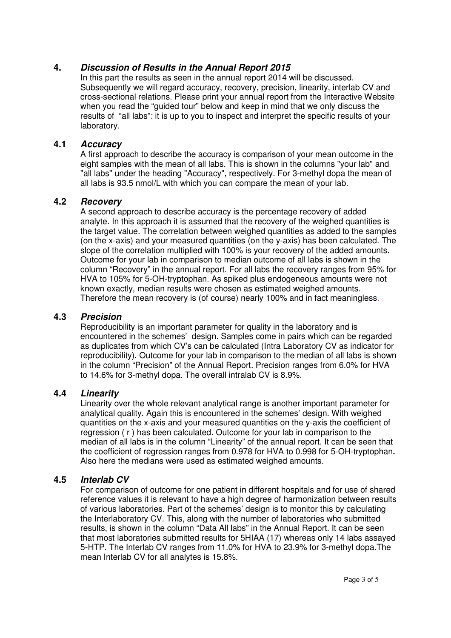## **4. Discussion of Results in the Annual Report 2015**

In this part the results as seen in the annual report 2014 will be discussed. Subsequently we will regard accuracy, recovery, precision, linearity, interlab CV and cross-sectional relations. Please print your annual report from the Interactive Website when you read the "guided tour" below and keep in mind that we only discuss the results of "all labs": it is up to you to inspect and interpret the specific results of your laboratory.

## **4.1 Accuracy**

A first approach to describe the accuracy is comparison of your mean outcome in the eight samples with the mean of all labs. This is shown in the columns "your lab" and "all labs" under the heading "Accuracy", respectively. For 3-methyl dopa the mean of all labs is 93.5 nmol/L with which you can compare the mean of your lab.

## **4.2 Recovery**

A second approach to describe accuracy is the percentage recovery of added analyte. In this approach it is assumed that the recovery of the weighed quantities is the target value. The correlation between weighed quantities as added to the samples (on the x-axis) and your measured quantities (on the y-axis) has been calculated. The slope of the correlation multiplied with 100% is your recovery of the added amounts. Outcome for your lab in comparison to median outcome of all labs is shown in the column "Recovery" in the annual report. For all labs the recovery ranges from 95% for HVA to 105% for 5-OH-tryptophan. As spiked plus endogeneous amounts were not known exactly, median results were chosen as estimated weighed amounts. Therefore the mean recovery is (of course) nearly 100% and in fact meaningless.

## **4.3 Precision**

Reproducibility is an important parameter for quality in the laboratory and is encountered in the schemes' design. Samples come in pairs which can be regarded as duplicates from which CV's can be calculated (Intra Laboratory CV as indicator for reproducibility). Outcome for your lab in comparison to the median of all labs is shown in the column "Precision" of the Annual Report. Precision ranges from 6.0% for HVA to 14.6% for 3-methyl dopa. The overall intralab CV is 8.9%.

## **4.4 Linearity**

Linearity over the whole relevant analytical range is another important parameter for analytical quality. Again this is encountered in the schemes' design. With weighed quantities on the x-axis and your measured quantities on the y-axis the coefficient of regression ( r ) has been calculated. Outcome for your lab in comparison to the median of all labs is in the column "Linearity" of the annual report. It can be seen that the coefficient of regression ranges from 0.978 for HVA to 0.998 for 5-OH-tryptophan**.**  Also here the medians were used as estimated weighed amounts.

## **4.5 Interlab CV**

For comparison of outcome for one patient in different hospitals and for use of shared reference values it is relevant to have a high degree of harmonization between results of various laboratories. Part of the schemes' design is to monitor this by calculating the Interlaboratory CV. This, along with the number of laboratories who submitted results, is shown in the column "Data All labs" in the Annual Report. It can be seen that most laboratories submitted results for 5HIAA (17) whereas only 14 labs assayed 5-HTP. The Interlab CV ranges from 11.0% for HVA to 23.9% for 3-methyl dopa.The mean Interlab CV for all analytes is 15.8%.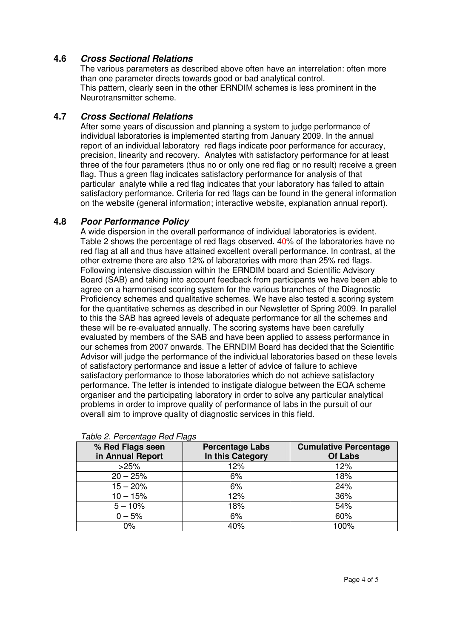# **4.6 Cross Sectional Relations**

The various parameters as described above often have an interrelation: often more than one parameter directs towards good or bad analytical control. This pattern, clearly seen in the other ERNDIM schemes is less prominent in the Neurotransmitter scheme.

# **4.7 Cross Sectional Relations**

After some years of discussion and planning a system to judge performance of individual laboratories is implemented starting from January 2009. In the annual report of an individual laboratory red flags indicate poor performance for accuracy, precision, linearity and recovery. Analytes with satisfactory performance for at least three of the four parameters (thus no or only one red flag or no result) receive a green flag. Thus a green flag indicates satisfactory performance for analysis of that particular analyte while a red flag indicates that your laboratory has failed to attain satisfactory performance. Criteria for red flags can be found in the general information on the website (general information; interactive website, explanation annual report).

# **4.8 Poor Performance Policy**

A wide dispersion in the overall performance of individual laboratories is evident. Table 2 shows the percentage of red flags observed. 40% of the laboratories have no red flag at all and thus have attained excellent overall performance. In contrast, at the other extreme there are also 12% of laboratories with more than 25% red flags. Following intensive discussion within the ERNDIM board and Scientific Advisory Board (SAB) and taking into account feedback from participants we have been able to agree on a harmonised scoring system for the various branches of the Diagnostic Proficiency schemes and qualitative schemes. We have also tested a scoring system for the quantitative schemes as described in our Newsletter of Spring 2009. In parallel to this the SAB has agreed levels of adequate performance for all the schemes and these will be re-evaluated annually. The scoring systems have been carefully evaluated by members of the SAB and have been applied to assess performance in our schemes from 2007 onwards. The ERNDIM Board has decided that the Scientific Advisor will judge the performance of the individual laboratories based on these levels of satisfactory performance and issue a letter of advice of failure to achieve satisfactory performance to those laboratories which do not achieve satisfactory performance. The letter is intended to instigate dialogue between the EQA scheme organiser and the participating laboratory in order to solve any particular analytical problems in order to improve quality of performance of labs in the pursuit of our overall aim to improve quality of diagnostic services in this field.

| % Red Flags seen<br>in Annual Report | <b>Percentage Labs</b><br>In this Category | <b>Cumulative Percentage</b><br><b>Of Labs</b> |  |  |  |  |
|--------------------------------------|--------------------------------------------|------------------------------------------------|--|--|--|--|
| >25%                                 | 12%                                        | 12%                                            |  |  |  |  |
| $20 - 25%$                           | 6%                                         | 18%                                            |  |  |  |  |
| $15 - 20%$                           | 6%                                         | 24%                                            |  |  |  |  |
| $10 - 15%$                           | 12%                                        | 36%                                            |  |  |  |  |
| $5 - 10%$                            | 18%                                        | 54%                                            |  |  |  |  |
| $0 - 5%$                             | 6%                                         | 60%                                            |  |  |  |  |
| $0\%$                                | 40%                                        | 100%                                           |  |  |  |  |

Table 2. Percentage Red Flags